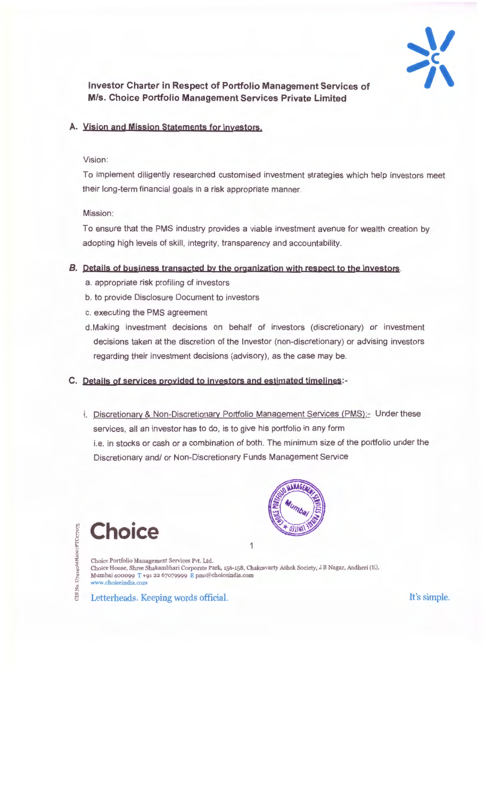

**Investor Charter in Respect of Portfolio Management Services of M/s. Choice Portfolio Management Services Private Limited** 

## **A. Yisjon and Mjssjon Statements for jnyestors.**

### Vision:

To implement diligently researched customised investment strategies which help investors meet their long-term financial goals in a risk appropriate manner.

#### Mission:

To ensure that the PMS industry provides a viable investment avenue for wealth creation by adopting high levels of skill, integrity, transparency and accountability.

#### **B.** Details of business transacted by the organization with respect to the investors.

- a. appropriate risk profiling of investors
- b. to provide Disclosure Document to investors
- c. executing the PMS agreement
- d.Making investment decisions on behalf of investors (discretionary) or investment decisions taken at the discretion of the Investor (non-discretionary) or advising investors regarding their investment decisions (advisory), as the case may be.

**C. Details of servjces oroyjded to jnyestors and estjmated tjmelines:-**

i. Discretionary & Non-Discretionary Portfolio Management Services (PMS):- Under these services, all an investor has to do, is to give his portfolio in any form i.e. in stocks or cash or a combination of both. The minimum size of the portfolio under the Discretionary and/ or Non-Discretionary Funds Management Service



Choice Portfolio Management Services Pvt. Ltd. Choice House, Shree Shakambhari Corporate Park, 156-158, Chakravarty Ashok Society, J B Nagar, Andheri (E), Mumbai 400099 T +91 22 67079999 E pms@choiceindla.com www.choiceindia.com

1

Letterheads. Keeping words official. It's simple.

**Choice**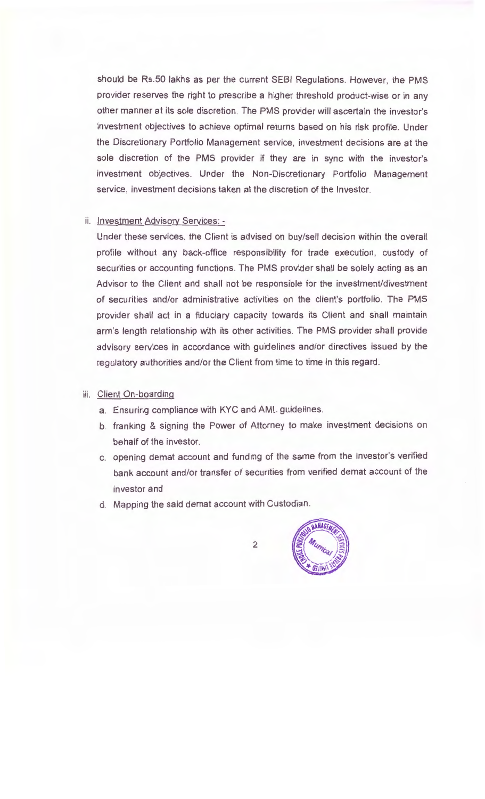should be Rs.50 lakhs as per the current SEBI Regulations. However, the PMS provider reserves the right to prescribe a higher threshold product-wise or in any other manner at its sole discretion. The PMS provider will ascertain the investor's investment objectives to achieve optimal returns based on his risk profile. Under the Discretionary Portfolio Management service, investment decisions are at the sole discretion of the PMS provider if they are in sync with the investor's investment objectives. Under the Non-Discretionary Portfolio Management service, investment decisions taken at the discretion of the Investor.

#### ii. Investment Advisory Services: -

Under these services, the Client is advised on buy/sell decision within the overall profile without any back-office responsibility for trade execution, custody of securities or accounting functions. The PMS provider shall be solely acting as an Advisor to the Client and shall not be responsible for the investment/divestment of securities and/or administrative activities on the client's portfolio. The PMS provider shall act in a fiduciary capacity towards its Client and shall maintain arm's length relationship with its other activities. The PMS provider shall provide advisory services in accordance with guidelines and/or directives issued by the regulatory authorities and/or the Client from time to time in this regard.

#### iii. Client On-boarding

- a. Ensuring compliance with KYC and AML guidelines.
- b. franking & signing the Power of Attorney to make investment decisions on behalf of the investor.
- c. opening demat account and funding of the same from the investor's verified bank account and/or transfer of securities from verified demat account of the investor and
- d. Mapping the said demat account with Custodian.

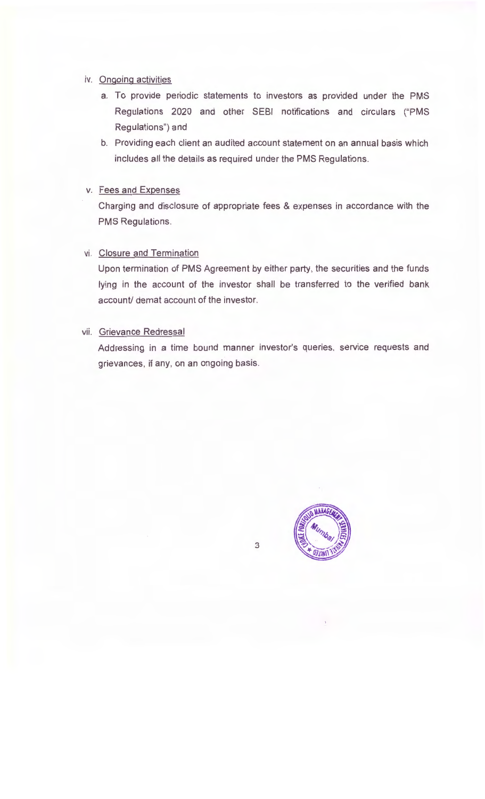### iv. Ongoing activities

- a. To provide periodic statements to investors as provided under the PMS Regulations 2020 and other SEBI notifications and circulars ("PMS Regulations") and
- b. Providing each client an audited account statement on an annual basis which includes all the details as required under the PMS Regulations.

### v. Fees and Expenses

Charging and disclosure of appropriate fees & expenses in accordance with the PMS Regulations.

#### vi. Closure and Termination

Upon termination of PMS Agreement by either party, the securities and the funds lying in the account of the investor shall be transferred to the verified bank account/ demat account of the investor.

### vii. Grievance Redressal

Addressing in a time bound manner investor's queries, service requests and grievances, if any, on an ongoing basis.

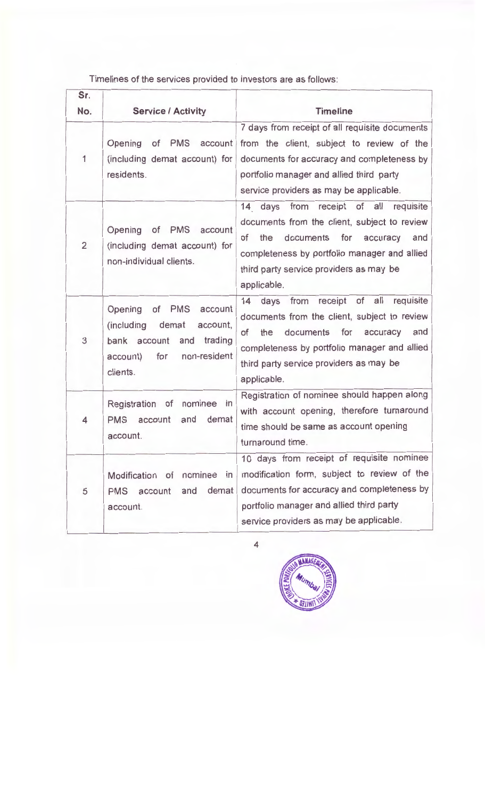Timelines of the services provided to investors are as follows:

| Sr.            |                                                                                                                                                             | <b>Timeline</b>                                                                                                                                                                                                                                                 |
|----------------|-------------------------------------------------------------------------------------------------------------------------------------------------------------|-----------------------------------------------------------------------------------------------------------------------------------------------------------------------------------------------------------------------------------------------------------------|
| No.            | <b>Service / Activity</b>                                                                                                                                   |                                                                                                                                                                                                                                                                 |
| 1              | Opening<br>of<br><b>PMS</b><br>account<br>(including demat account) for<br>residents.                                                                       | 7 days from receipt of all requisite documents<br>from the client, subject to review of the<br>documents for accuracy and completeness by<br>portfolio manager and allied third party<br>service providers as may be applicable.                                |
| $\overline{2}$ | of PMS<br>Opening<br>account<br>(including demat account) for<br>non-individual clients.                                                                    | from receipt of all<br>requisite<br>14 days<br>documents from the client, subject to review<br>of<br>the<br>documents for<br>accuracy<br>and<br>completeness by portfolio manager and allied<br>third party service providers as may be<br>applicable.          |
| 3              | <b>PMS</b><br>Opening<br>of<br>account<br>(including)<br>demat<br>account,<br>trading<br>and<br>bank account<br>non-resident<br>for<br>account)<br>clients. | of<br>all<br>receipt<br>requisite<br>from<br>14<br>days<br>documents from the client, subject to review<br>and<br>the<br>documents for accuracy<br>of<br>completeness by portfolio manager and allied<br>third party service providers as may be<br>applicable. |
| 4              | Registration of<br>nominee<br>$\mathsf{in}$<br>demat<br>and<br><b>PMS</b><br>account<br>account.                                                            | Registration of nominee should happen along<br>with account opening, therefore turnaround<br>time should be same as account opening<br>turnaround time.                                                                                                         |
| 5              | Modification of nominee in<br>demat<br>and<br><b>PMS</b><br>account<br>account.                                                                             | 10 days from receipt of requisite nominee<br>modification form, subject to review of the<br>documents for accuracy and completeness by<br>portfolio manager and allied third party<br>service providers as may be applicable.                                   |

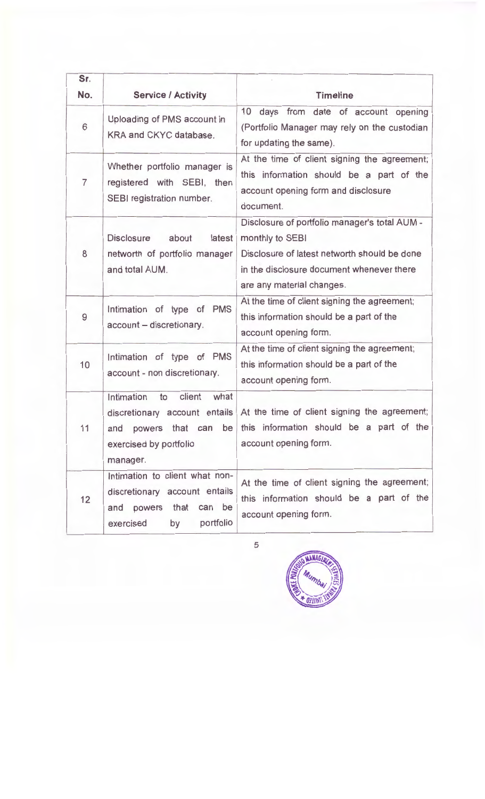| Sr.<br>No. | <b>Service / Activity</b>                                                                                                       | <b>Timeline</b>                                                                                                                                                                            |
|------------|---------------------------------------------------------------------------------------------------------------------------------|--------------------------------------------------------------------------------------------------------------------------------------------------------------------------------------------|
| 6          | Uploading of PMS account in<br>KRA and CKYC database.                                                                           | days from date of account opening<br>10<br>(Portfolio Manager may rely on the custodian<br>for updating the same).                                                                         |
| 7          | Whether portfolio manager is<br>registered with SEBI, then<br>SEBI registration number.                                         | At the time of client signing the agreement;<br>this information should be a part of the<br>account opening form and disclosure<br>document.                                               |
| 8          | <b>Disclosure</b><br>about<br>latest<br>networth of portfolio manager<br>and total AUM.                                         | Disclosure of portfolio manager's total AUM -<br>monthly to SEBI<br>Disclosure of latest networth should be done<br>in the disclosure document whenever there<br>are any material changes. |
| 9          | Intimation of type of PMS<br>account - discretionary.                                                                           | At the time of client signing the agreement;<br>this information should be a part of the<br>account opening form.                                                                          |
| 10         | Intimation of type of PMS<br>account - non discretionary.                                                                       | At the time of client signing the agreement;<br>this information should be a part of the<br>account opening form.                                                                          |
| 11         | Intimation<br>client<br>what<br>to<br>exercised by portfolio<br>manager.                                                        | discretionary account entails At the time of client signing the agreement;<br>and powers that can be this information should be a part of the<br>account opening form.                     |
| 12         | Intimation to client what non-<br>discretionary account entails<br>powers that<br>can be<br>and<br>portfolio<br>exercised<br>by | At the time of client signing the agreement;<br>this information should be a part of the<br>account opening form.                                                                          |

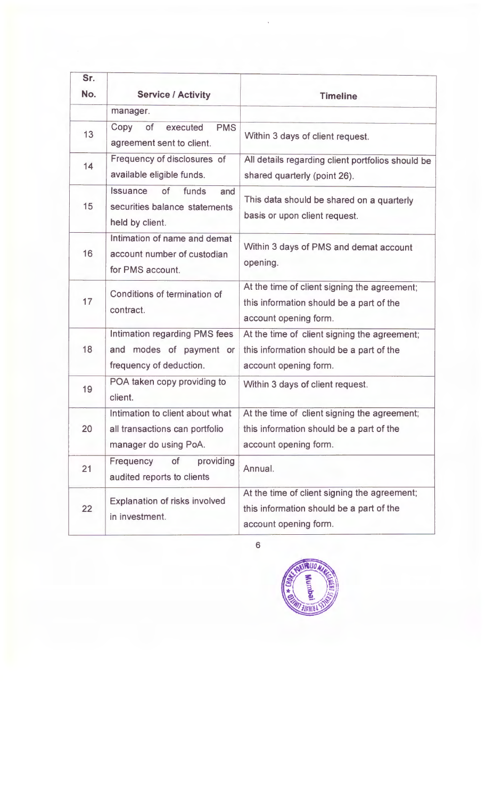| Sr. |                                                                                            |                                                                                                                   |
|-----|--------------------------------------------------------------------------------------------|-------------------------------------------------------------------------------------------------------------------|
| No. | <b>Service / Activity</b>                                                                  | <b>Timeline</b>                                                                                                   |
|     | manager.                                                                                   |                                                                                                                   |
| 13  | <b>PMS</b><br>Copy<br>of<br>executed<br>agreement sent to client.                          | Within 3 days of client request.                                                                                  |
| 14  | Frequency of disclosures of<br>available eligible funds.                                   | All details regarding client portfolios should be<br>shared quarterly (point 26).                                 |
| 15  | Issuance<br>of<br>funds<br>and<br>securities balance statements<br>held by client.         | This data should be shared on a quarterly<br>basis or upon client request.                                        |
| 16  | Intimation of name and demat<br>account number of custodian<br>for PMS account.            | Within 3 days of PMS and demat account<br>opening.                                                                |
| 17  | Conditions of termination of<br>contract.                                                  | At the time of client signing the agreement;<br>this information should be a part of the<br>account opening form. |
| 18  | Intimation regarding PMS fees<br>and modes of payment or<br>frequency of deduction.        | At the time of client signing the agreement;<br>this information should be a part of the<br>account opening form. |
| 19  | POA taken copy providing to<br>client.                                                     | Within 3 days of client request.                                                                                  |
| 20  | Intimation to client about what<br>all transactions can portfolio<br>manager do using PoA. | At the time of client signing the agreement;<br>this information should be a part of the<br>account opening form. |
| 21  | providing<br>Frequency<br>of<br>audited reports to clients                                 | Annual.                                                                                                           |
| 22  | Explanation of risks involved<br>in investment.                                            | At the time of client signing the agreement;<br>this information should be a part of the<br>account opening form. |

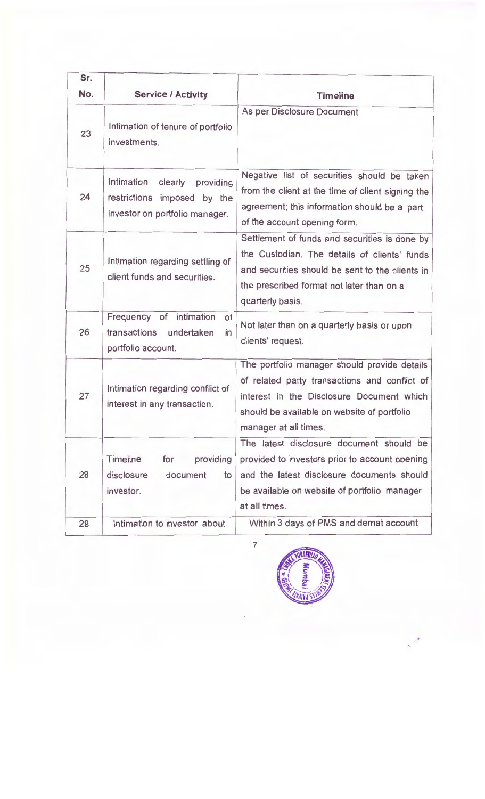| Sr.<br>No. | <b>Service / Activity</b>                                                                           | <b>Timeline</b>                                                                                                                                                                                                    |
|------------|-----------------------------------------------------------------------------------------------------|--------------------------------------------------------------------------------------------------------------------------------------------------------------------------------------------------------------------|
| 23         | Intimation of tenure of portfolio<br>investments.                                                   | As per Disclosure Document                                                                                                                                                                                         |
| 24         | Intimation<br>clearly<br>providing<br>restrictions imposed by the<br>investor on portfolio manager. | Negative list of securities should be taken<br>from the client at the time of client signing the<br>agreement; this information should be a part<br>of the account opening form.                                   |
| 25         | Intimation regarding settling of<br>client funds and securities.                                    | Settlement of funds and securities is done by<br>the Custodian. The details of clients' funds<br>and securities should be sent to the clients in<br>the prescribed format not later than on a<br>quarterly basis.  |
| 26         | intimation<br>Frequency<br>of<br>of<br>transactions<br>undertaken<br>in<br>portfolio account.       | Not later than on a quarterly basis or upon<br>clients' request.                                                                                                                                                   |
| 27         | Intimation regarding conflict of<br>interest in any transaction.                                    | The portfolio manager should provide details<br>of related party transactions and conflict of<br>interest in the Disclosure Document which<br>should be available on website of portfolio<br>manager at all times. |
| 28         | Timeline<br>providing<br>for<br>disclosure<br>document<br>to<br>investor.                           | The latest disclosure document should be<br>provided to investors prior to account opening<br>and the latest disclosure documents should<br>be available on website of portfolio manager<br>at all times.          |
| 29         | Intimation to investor about                                                                        | Within 3 days of PMS and demat account                                                                                                                                                                             |

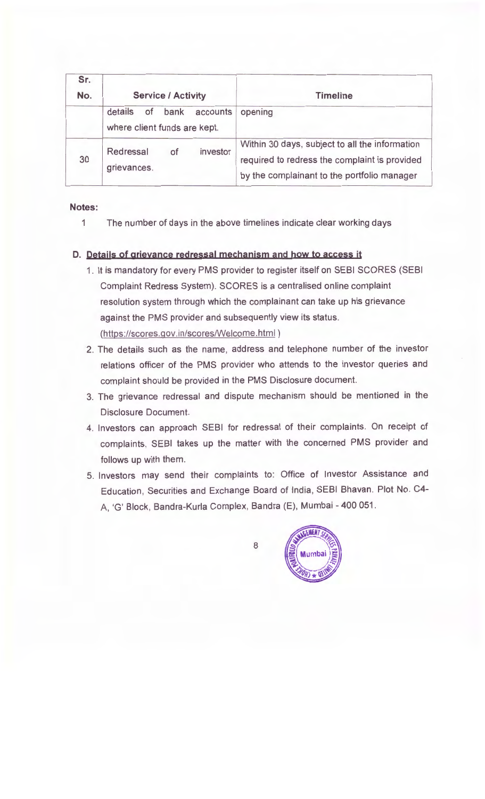| Sr.<br>No. | <b>Service / Activity</b>                             |          | <b>Timeline</b>                                                                                                                                |
|------------|-------------------------------------------------------|----------|------------------------------------------------------------------------------------------------------------------------------------------------|
|            | details<br>bank<br>of<br>where client funds are kept. | accounts | opening                                                                                                                                        |
| 30         | Redressal<br>0f<br>grievances.                        | investor | Within 30 days, subject to all the information<br>required to redress the complaint is provided<br>by the complainant to the portfolio manager |

## **Notes:**

1 The number of days in the above timelines indicate clear working days

# **D. Details of grievance redressal mechanism and how to access it**

- 1. It is mandatory for every PMS provider to register itself on SEBI SCORES (SEBI Complaint Redress System). SCORES is a centralised online complaint resolution system through which the complainant can take up his grievance against the PMS provider and subsequently view its status. (https://scores.gov.in/scores/Welcome.html )
- 2. The details such as the name, address and telephone number of the investor relations officer of the PMS provider who attends to the investor queries and complaint should be provided in the PMS Disclosure document.
- 3. The grievance redressal and dispute mechanism should be mentioned in the Disclosure Document.
- 4. Investors can approach SEBI for redressal of their complaints. On receipt of complaints, SEBI takes up the matter with the concerned PMS provider and follows up with them.
- 5. Investors may send their complaints to: Office of Investor Assistance and Education, Securities and Exchange Board of India, SEBI Bhavan. Plot No. C4-A, 'G' Block, Bandra-Kurla Complex, Sandra (E), Mumbai- 400 051.